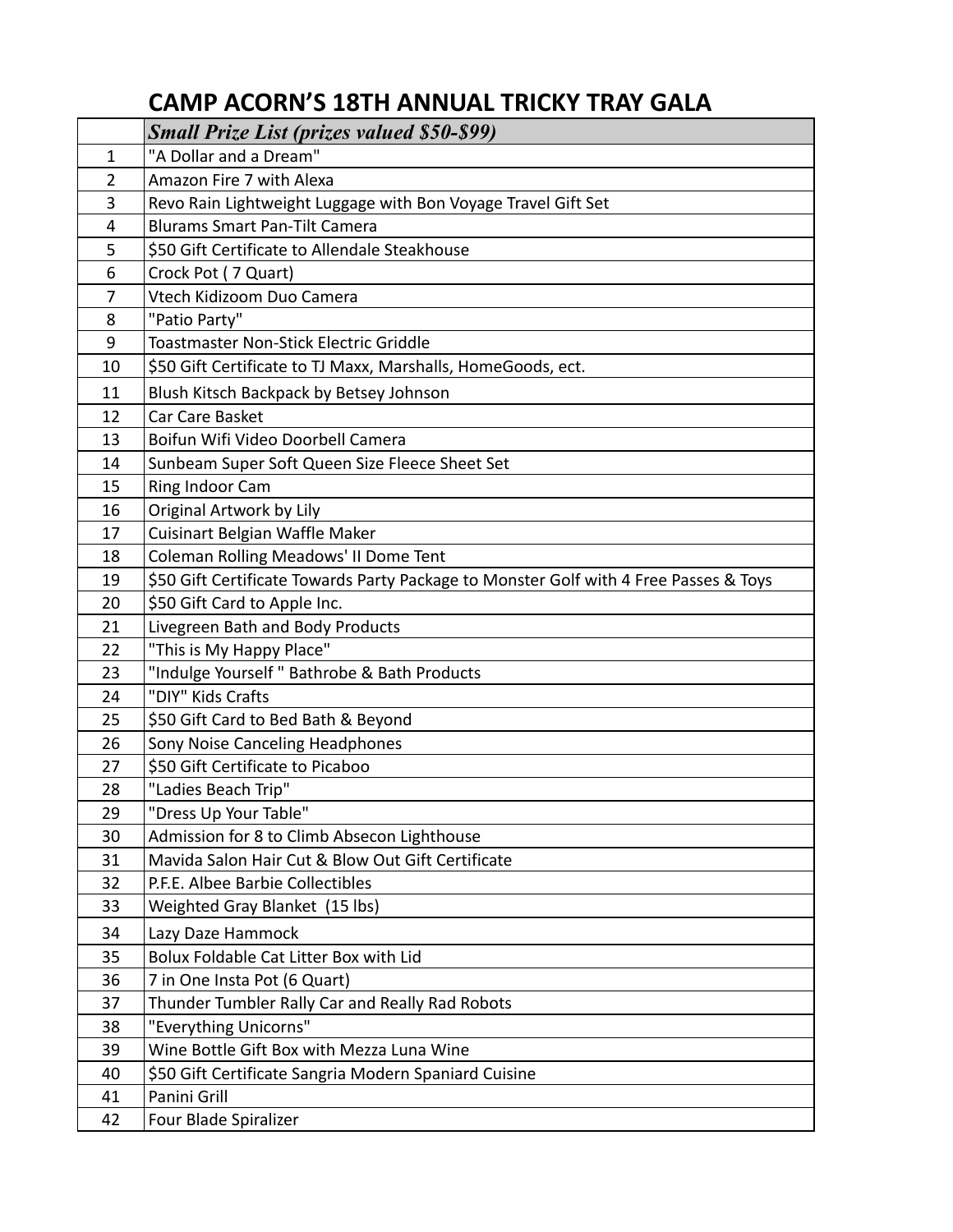## **CAMP ACORN'S 18TH ANNUAL TRICKY TRAY GALA**

|                | <b>Small Prize List (prizes valued \$50-\$99)</b>                                     |
|----------------|---------------------------------------------------------------------------------------|
| 1              | "A Dollar and a Dream"                                                                |
| $\overline{2}$ | Amazon Fire 7 with Alexa                                                              |
| 3              | Revo Rain Lightweight Luggage with Bon Voyage Travel Gift Set                         |
| 4              | <b>Blurams Smart Pan-Tilt Camera</b>                                                  |
| 5              | \$50 Gift Certificate to Allendale Steakhouse                                         |
| 6              | Crock Pot (7 Quart)                                                                   |
| 7              | Vtech Kidizoom Duo Camera                                                             |
| 8              | "Patio Party"                                                                         |
| 9              | <b>Toastmaster Non-Stick Electric Griddle</b>                                         |
| 10             | \$50 Gift Certificate to TJ Maxx, Marshalls, HomeGoods, ect.                          |
| 11             | Blush Kitsch Backpack by Betsey Johnson                                               |
| 12             | Car Care Basket                                                                       |
| 13             | Boifun Wifi Video Doorbell Camera                                                     |
| 14             | Sunbeam Super Soft Queen Size Fleece Sheet Set                                        |
| 15             | Ring Indoor Cam                                                                       |
| 16             | Original Artwork by Lily                                                              |
| 17             | Cuisinart Belgian Waffle Maker                                                        |
| 18             | Coleman Rolling Meadows' II Dome Tent                                                 |
| 19             | \$50 Gift Certificate Towards Party Package to Monster Golf with 4 Free Passes & Toys |
| 20             | \$50 Gift Card to Apple Inc.                                                          |
| 21             | Livegreen Bath and Body Products                                                      |
| 22             | "This is My Happy Place"                                                              |
| 23             | "Indulge Yourself " Bathrobe & Bath Products                                          |
| 24             | "DIY" Kids Crafts                                                                     |
| 25             | \$50 Gift Card to Bed Bath & Beyond                                                   |
| 26             | Sony Noise Canceling Headphones                                                       |
| 27             | \$50 Gift Certificate to Picaboo                                                      |
| 28             | "Ladies Beach Trip"                                                                   |
| 29             | "Dress Up Your Table"                                                                 |
| 30             | Admission for 8 to Climb Absecon Lighthouse                                           |
| 31             | Mavida Salon Hair Cut & Blow Out Gift Certificate                                     |
| 32             | P.F.E. Albee Barbie Collectibles                                                      |
| 33             | Weighted Gray Blanket (15 lbs)                                                        |
| 34             | Lazy Daze Hammock                                                                     |
| 35             | Bolux Foldable Cat Litter Box with Lid                                                |
| 36             | 7 in One Insta Pot (6 Quart)                                                          |
| 37             | Thunder Tumbler Rally Car and Really Rad Robots                                       |
| 38             | "Everything Unicorns"                                                                 |
| 39             | Wine Bottle Gift Box with Mezza Luna Wine                                             |
| 40             | \$50 Gift Certificate Sangria Modern Spaniard Cuisine                                 |
| 41             | Panini Grill                                                                          |
| 42             | Four Blade Spiralizer                                                                 |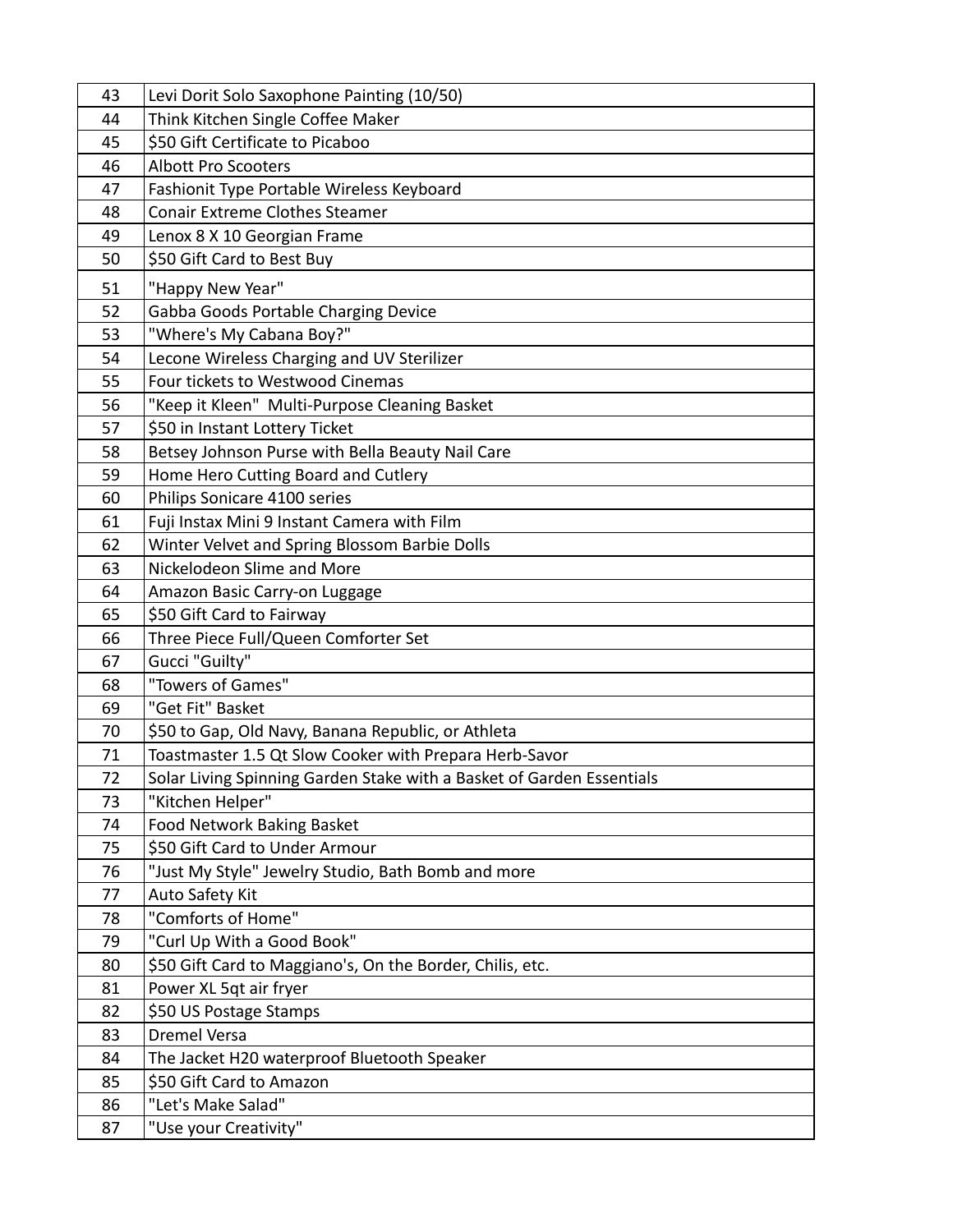| 43 | Levi Dorit Solo Saxophone Painting (10/50)                            |
|----|-----------------------------------------------------------------------|
| 44 | Think Kitchen Single Coffee Maker                                     |
| 45 | \$50 Gift Certificate to Picaboo                                      |
| 46 | <b>Albott Pro Scooters</b>                                            |
| 47 | Fashionit Type Portable Wireless Keyboard                             |
| 48 | <b>Conair Extreme Clothes Steamer</b>                                 |
| 49 | Lenox 8 X 10 Georgian Frame                                           |
| 50 | \$50 Gift Card to Best Buy                                            |
| 51 | "Happy New Year"                                                      |
| 52 | Gabba Goods Portable Charging Device                                  |
| 53 | "Where's My Cabana Boy?"                                              |
| 54 | Lecone Wireless Charging and UV Sterilizer                            |
| 55 | Four tickets to Westwood Cinemas                                      |
| 56 | "Keep it Kleen" Multi-Purpose Cleaning Basket                         |
| 57 | \$50 in Instant Lottery Ticket                                        |
| 58 | Betsey Johnson Purse with Bella Beauty Nail Care                      |
| 59 | Home Hero Cutting Board and Cutlery                                   |
| 60 | Philips Sonicare 4100 series                                          |
| 61 | Fuji Instax Mini 9 Instant Camera with Film                           |
| 62 | Winter Velvet and Spring Blossom Barbie Dolls                         |
| 63 | Nickelodeon Slime and More                                            |
| 64 | Amazon Basic Carry-on Luggage                                         |
| 65 | \$50 Gift Card to Fairway                                             |
| 66 | Three Piece Full/Queen Comforter Set                                  |
| 67 | Gucci "Guilty"                                                        |
| 68 | "Towers of Games"                                                     |
| 69 | "Get Fit" Basket                                                      |
| 70 | \$50 to Gap, Old Navy, Banana Republic, or Athleta                    |
| 71 | Toastmaster 1.5 Qt Slow Cooker with Prepara Herb-Savor                |
| 72 | Solar Living Spinning Garden Stake with a Basket of Garden Essentials |
| 73 | "Kitchen Helper"                                                      |
| 74 | Food Network Baking Basket                                            |
| 75 | \$50 Gift Card to Under Armour                                        |
| 76 | "Just My Style" Jewelry Studio, Bath Bomb and more                    |
| 77 | Auto Safety Kit                                                       |
| 78 | "Comforts of Home"                                                    |
| 79 | "Curl Up With a Good Book"                                            |
| 80 | \$50 Gift Card to Maggiano's, On the Border, Chilis, etc.             |
| 81 | Power XL 5qt air fryer                                                |
| 82 | \$50 US Postage Stamps                                                |
| 83 | <b>Dremel Versa</b>                                                   |
| 84 | The Jacket H20 waterproof Bluetooth Speaker                           |
| 85 | \$50 Gift Card to Amazon                                              |
| 86 | "Let's Make Salad"                                                    |
| 87 | "Use your Creativity"                                                 |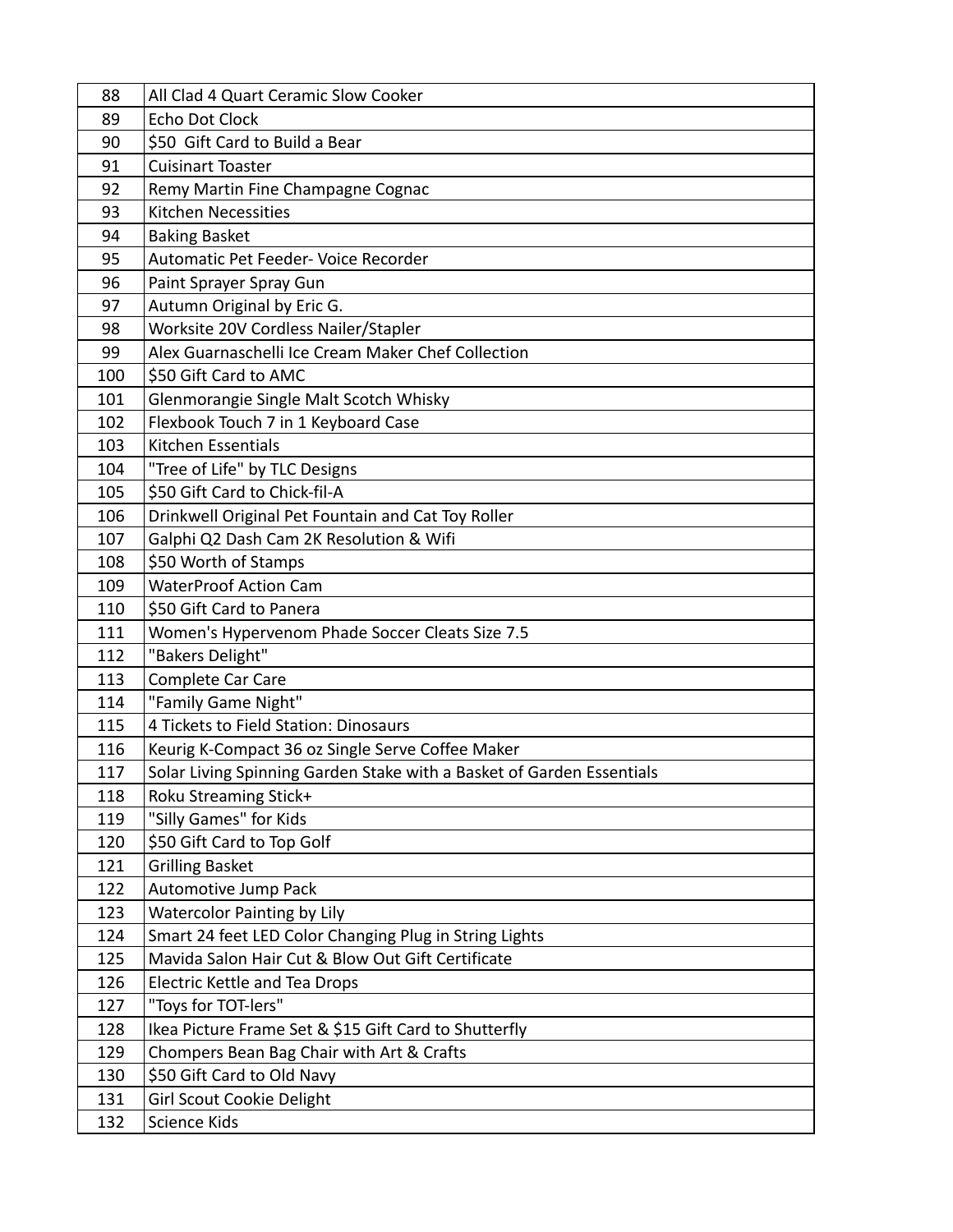| 88  | All Clad 4 Quart Ceramic Slow Cooker                                  |
|-----|-----------------------------------------------------------------------|
| 89  | Echo Dot Clock                                                        |
| 90  | \$50 Gift Card to Build a Bear                                        |
| 91  | <b>Cuisinart Toaster</b>                                              |
| 92  | Remy Martin Fine Champagne Cognac                                     |
| 93  | <b>Kitchen Necessities</b>                                            |
| 94  | <b>Baking Basket</b>                                                  |
| 95  | Automatic Pet Feeder- Voice Recorder                                  |
| 96  | Paint Sprayer Spray Gun                                               |
| 97  | Autumn Original by Eric G.                                            |
| 98  | Worksite 20V Cordless Nailer/Stapler                                  |
| 99  | Alex Guarnaschelli Ice Cream Maker Chef Collection                    |
| 100 | \$50 Gift Card to AMC                                                 |
| 101 | Glenmorangie Single Malt Scotch Whisky                                |
| 102 | Flexbook Touch 7 in 1 Keyboard Case                                   |
| 103 | <b>Kitchen Essentials</b>                                             |
| 104 | "Tree of Life" by TLC Designs                                         |
| 105 | \$50 Gift Card to Chick-fil-A                                         |
| 106 | Drinkwell Original Pet Fountain and Cat Toy Roller                    |
| 107 | Galphi Q2 Dash Cam 2K Resolution & Wifi                               |
| 108 | \$50 Worth of Stamps                                                  |
| 109 | <b>WaterProof Action Cam</b>                                          |
| 110 | \$50 Gift Card to Panera                                              |
| 111 | Women's Hypervenom Phade Soccer Cleats Size 7.5                       |
| 112 | "Bakers Delight"                                                      |
| 113 | Complete Car Care                                                     |
| 114 | "Family Game Night"                                                   |
| 115 | 4 Tickets to Field Station: Dinosaurs                                 |
| 116 | Keurig K-Compact 36 oz Single Serve Coffee Maker                      |
| 117 | Solar Living Spinning Garden Stake with a Basket of Garden Essentials |
| 118 | Roku Streaming Stick+                                                 |
| 119 | "Silly Games" for Kids                                                |
| 120 | \$50 Gift Card to Top Golf                                            |
| 121 | <b>Grilling Basket</b>                                                |
| 122 | Automotive Jump Pack                                                  |
| 123 | <b>Watercolor Painting by Lily</b>                                    |
| 124 | Smart 24 feet LED Color Changing Plug in String Lights                |
| 125 | Mavida Salon Hair Cut & Blow Out Gift Certificate                     |
| 126 | Electric Kettle and Tea Drops                                         |
| 127 | "Toys for TOT-lers"                                                   |
| 128 | Ikea Picture Frame Set & \$15 Gift Card to Shutterfly                 |
| 129 | Chompers Bean Bag Chair with Art & Crafts                             |
| 130 | \$50 Gift Card to Old Navy                                            |
| 131 | <b>Girl Scout Cookie Delight</b>                                      |
| 132 | Science Kids                                                          |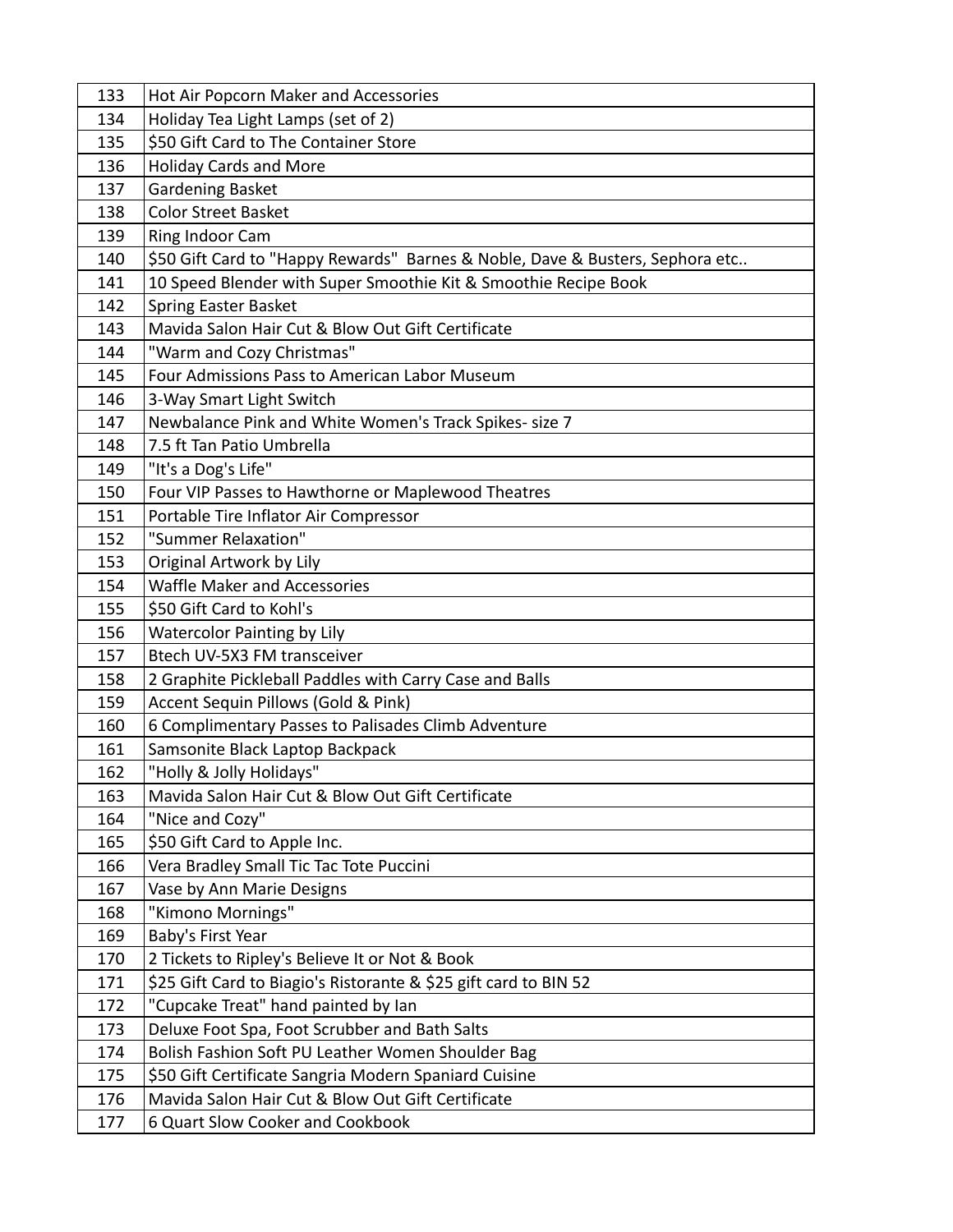| 133 | Hot Air Popcorn Maker and Accessories                                         |
|-----|-------------------------------------------------------------------------------|
| 134 | Holiday Tea Light Lamps (set of 2)                                            |
| 135 | \$50 Gift Card to The Container Store                                         |
| 136 | <b>Holiday Cards and More</b>                                                 |
| 137 | Gardening Basket                                                              |
| 138 | <b>Color Street Basket</b>                                                    |
| 139 | Ring Indoor Cam                                                               |
| 140 | \$50 Gift Card to "Happy Rewards" Barnes & Noble, Dave & Busters, Sephora etc |
| 141 | 10 Speed Blender with Super Smoothie Kit & Smoothie Recipe Book               |
| 142 | <b>Spring Easter Basket</b>                                                   |
| 143 | Mavida Salon Hair Cut & Blow Out Gift Certificate                             |
| 144 | "Warm and Cozy Christmas"                                                     |
| 145 | Four Admissions Pass to American Labor Museum                                 |
| 146 | 3-Way Smart Light Switch                                                      |
| 147 | Newbalance Pink and White Women's Track Spikes- size 7                        |
| 148 | 7.5 ft Tan Patio Umbrella                                                     |
| 149 | "It's a Dog's Life"                                                           |
| 150 | Four VIP Passes to Hawthorne or Maplewood Theatres                            |
| 151 | Portable Tire Inflator Air Compressor                                         |
| 152 | "Summer Relaxation"                                                           |
| 153 | Original Artwork by Lily                                                      |
| 154 | <b>Waffle Maker and Accessories</b>                                           |
| 155 | \$50 Gift Card to Kohl's                                                      |
| 156 | <b>Watercolor Painting by Lily</b>                                            |
| 157 | Btech UV-5X3 FM transceiver                                                   |
| 158 | 2 Graphite Pickleball Paddles with Carry Case and Balls                       |
| 159 | Accent Sequin Pillows (Gold & Pink)                                           |
| 160 | 6 Complimentary Passes to Palisades Climb Adventure                           |
| 161 | Samsonite Black Laptop Backpack                                               |
| 162 | "Holly & Jolly Holidays"                                                      |
| 163 | Mavida Salon Hair Cut & Blow Out Gift Certificate                             |
| 164 | "Nice and Cozy"                                                               |
| 165 | \$50 Gift Card to Apple Inc.                                                  |
| 166 | Vera Bradley Small Tic Tac Tote Puccini                                       |
| 167 | Vase by Ann Marie Designs                                                     |
| 168 | "Kimono Mornings"                                                             |
| 169 | Baby's First Year                                                             |
| 170 | 2 Tickets to Ripley's Believe It or Not & Book                                |
| 171 | \$25 Gift Card to Biagio's Ristorante & \$25 gift card to BIN 52              |
| 172 | "Cupcake Treat" hand painted by lan                                           |
| 173 | Deluxe Foot Spa, Foot Scrubber and Bath Salts                                 |
| 174 | Bolish Fashion Soft PU Leather Women Shoulder Bag                             |
| 175 | \$50 Gift Certificate Sangria Modern Spaniard Cuisine                         |
| 176 | Mavida Salon Hair Cut & Blow Out Gift Certificate                             |
| 177 | 6 Quart Slow Cooker and Cookbook                                              |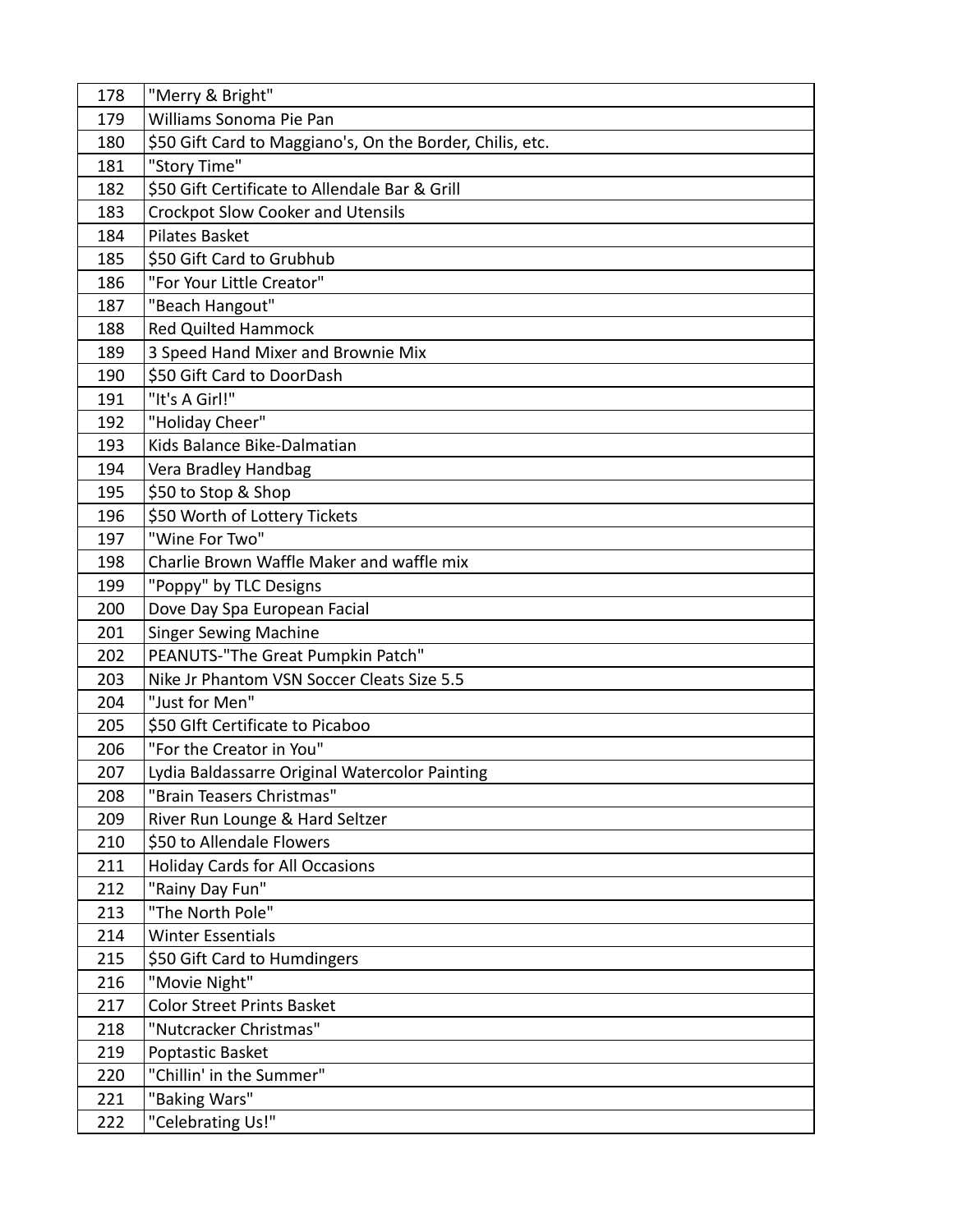| 178 | "Merry & Bright"                                          |
|-----|-----------------------------------------------------------|
| 179 | Williams Sonoma Pie Pan                                   |
| 180 | \$50 Gift Card to Maggiano's, On the Border, Chilis, etc. |
| 181 | "Story Time"                                              |
| 182 | \$50 Gift Certificate to Allendale Bar & Grill            |
| 183 | <b>Crockpot Slow Cooker and Utensils</b>                  |
| 184 | <b>Pilates Basket</b>                                     |
| 185 | \$50 Gift Card to Grubhub                                 |
| 186 | "For Your Little Creator"                                 |
| 187 | "Beach Hangout"                                           |
| 188 | <b>Red Quilted Hammock</b>                                |
| 189 | 3 Speed Hand Mixer and Brownie Mix                        |
| 190 | \$50 Gift Card to DoorDash                                |
| 191 | "It's A Girl!"                                            |
| 192 | "Holiday Cheer"                                           |
| 193 | Kids Balance Bike-Dalmatian                               |
| 194 | Vera Bradley Handbag                                      |
| 195 | \$50 to Stop & Shop                                       |
| 196 | \$50 Worth of Lottery Tickets                             |
| 197 | "Wine For Two"                                            |
| 198 | Charlie Brown Waffle Maker and waffle mix                 |
| 199 | "Poppy" by TLC Designs                                    |
| 200 | Dove Day Spa European Facial                              |
| 201 | <b>Singer Sewing Machine</b>                              |
| 202 | PEANUTS-"The Great Pumpkin Patch"                         |
| 203 | Nike Jr Phantom VSN Soccer Cleats Size 5.5                |
| 204 | "Just for Men"                                            |
| 205 | \$50 Glft Certificate to Picaboo                          |
| 206 | "For the Creator in You"                                  |
| 207 | Lydia Baldassarre Original Watercolor Painting            |
| 208 | "Brain Teasers Christmas"                                 |
| 209 | River Run Lounge & Hard Seltzer                           |
| 210 | \$50 to Allendale Flowers                                 |
| 211 | <b>Holiday Cards for All Occasions</b>                    |
| 212 | "Rainy Day Fun"                                           |
| 213 | "The North Pole"                                          |
| 214 | <b>Winter Essentials</b>                                  |
| 215 | \$50 Gift Card to Humdingers                              |
| 216 | "Movie Night"                                             |
| 217 | <b>Color Street Prints Basket</b>                         |
| 218 | "Nutcracker Christmas"                                    |
| 219 | Poptastic Basket                                          |
| 220 | "Chillin' in the Summer"                                  |
| 221 | "Baking Wars"                                             |
| 222 | "Celebrating Us!"                                         |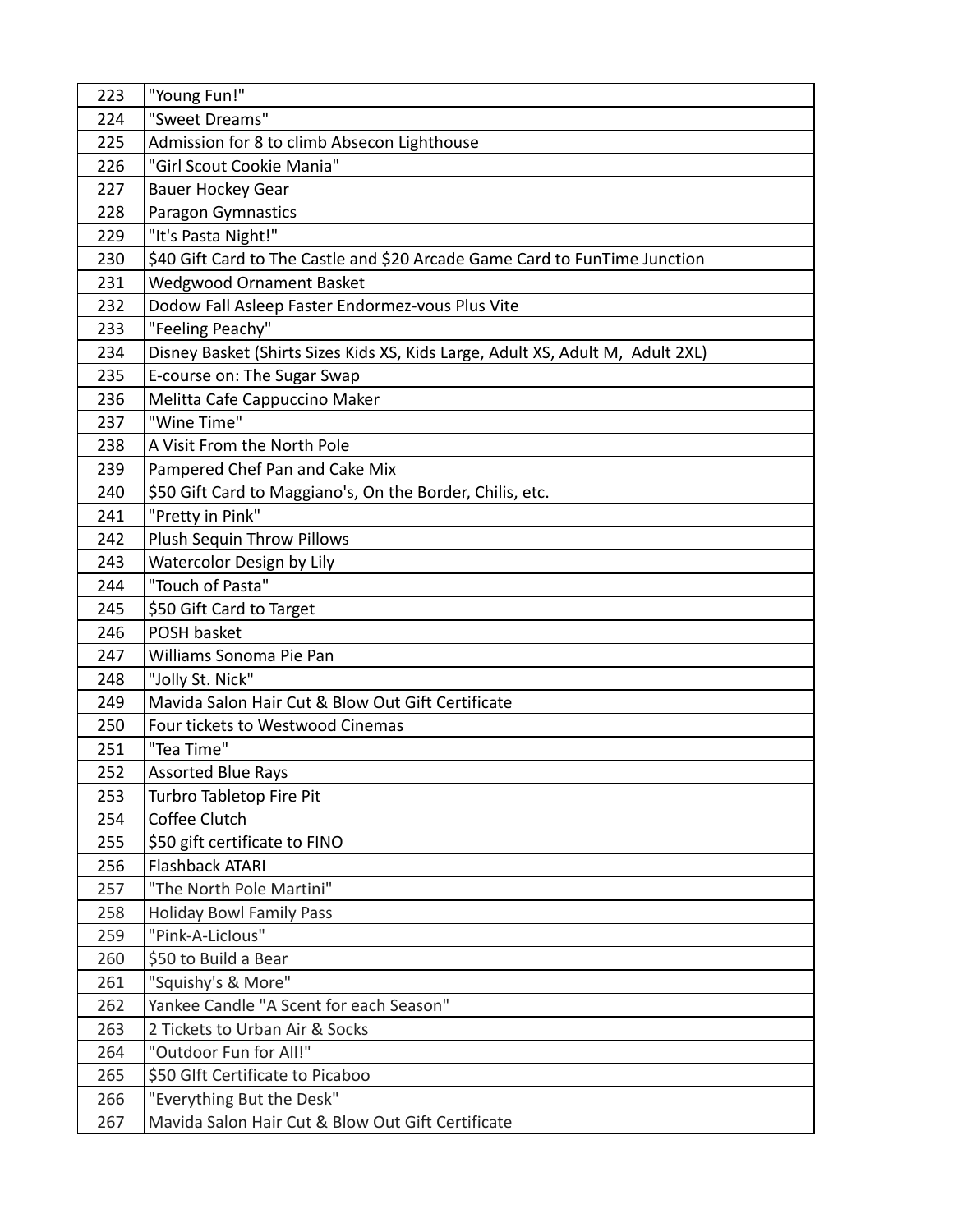| 223 | "Young Fun!"                                                                   |
|-----|--------------------------------------------------------------------------------|
| 224 | "Sweet Dreams"                                                                 |
| 225 | Admission for 8 to climb Absecon Lighthouse                                    |
| 226 | "Girl Scout Cookie Mania"                                                      |
| 227 | <b>Bauer Hockey Gear</b>                                                       |
| 228 | <b>Paragon Gymnastics</b>                                                      |
| 229 | "It's Pasta Night!"                                                            |
| 230 | \$40 Gift Card to The Castle and \$20 Arcade Game Card to FunTime Junction     |
| 231 | <b>Wedgwood Ornament Basket</b>                                                |
| 232 | Dodow Fall Asleep Faster Endormez-vous Plus Vite                               |
| 233 | "Feeling Peachy"                                                               |
| 234 | Disney Basket (Shirts Sizes Kids XS, Kids Large, Adult XS, Adult M, Adult 2XL) |
| 235 | E-course on: The Sugar Swap                                                    |
| 236 | Melitta Cafe Cappuccino Maker                                                  |
| 237 | "Wine Time"                                                                    |
| 238 | A Visit From the North Pole                                                    |
| 239 | Pampered Chef Pan and Cake Mix                                                 |
| 240 | \$50 Gift Card to Maggiano's, On the Border, Chilis, etc.                      |
| 241 | "Pretty in Pink"                                                               |
| 242 | Plush Sequin Throw Pillows                                                     |
| 243 | Watercolor Design by Lily                                                      |
| 244 | "Touch of Pasta"                                                               |
| 245 | \$50 Gift Card to Target                                                       |
| 246 | POSH basket                                                                    |
| 247 | Williams Sonoma Pie Pan                                                        |
| 248 | "Jolly St. Nick"                                                               |
| 249 | Mavida Salon Hair Cut & Blow Out Gift Certificate                              |
| 250 | Four tickets to Westwood Cinemas                                               |
| 251 | "Tea Time"                                                                     |
| 252 | <b>Assorted Blue Rays</b>                                                      |
| 253 | Turbro Tabletop Fire Pit                                                       |
| 254 | Coffee Clutch                                                                  |
| 255 | \$50 gift certificate to FINO                                                  |
| 256 | Flashback ATARI                                                                |
| 257 | "The North Pole Martini"                                                       |
| 258 | <b>Holiday Bowl Family Pass</b>                                                |
| 259 | "Pink-A-Liclous"                                                               |
| 260 | \$50 to Build a Bear                                                           |
| 261 | "Squishy's & More"                                                             |
| 262 | Yankee Candle "A Scent for each Season"                                        |
| 263 | 2 Tickets to Urban Air & Socks                                                 |
| 264 | "Outdoor Fun for All!"                                                         |
| 265 | \$50 Glft Certificate to Picaboo                                               |
| 266 | "Everything But the Desk"                                                      |
| 267 | Mavida Salon Hair Cut & Blow Out Gift Certificate                              |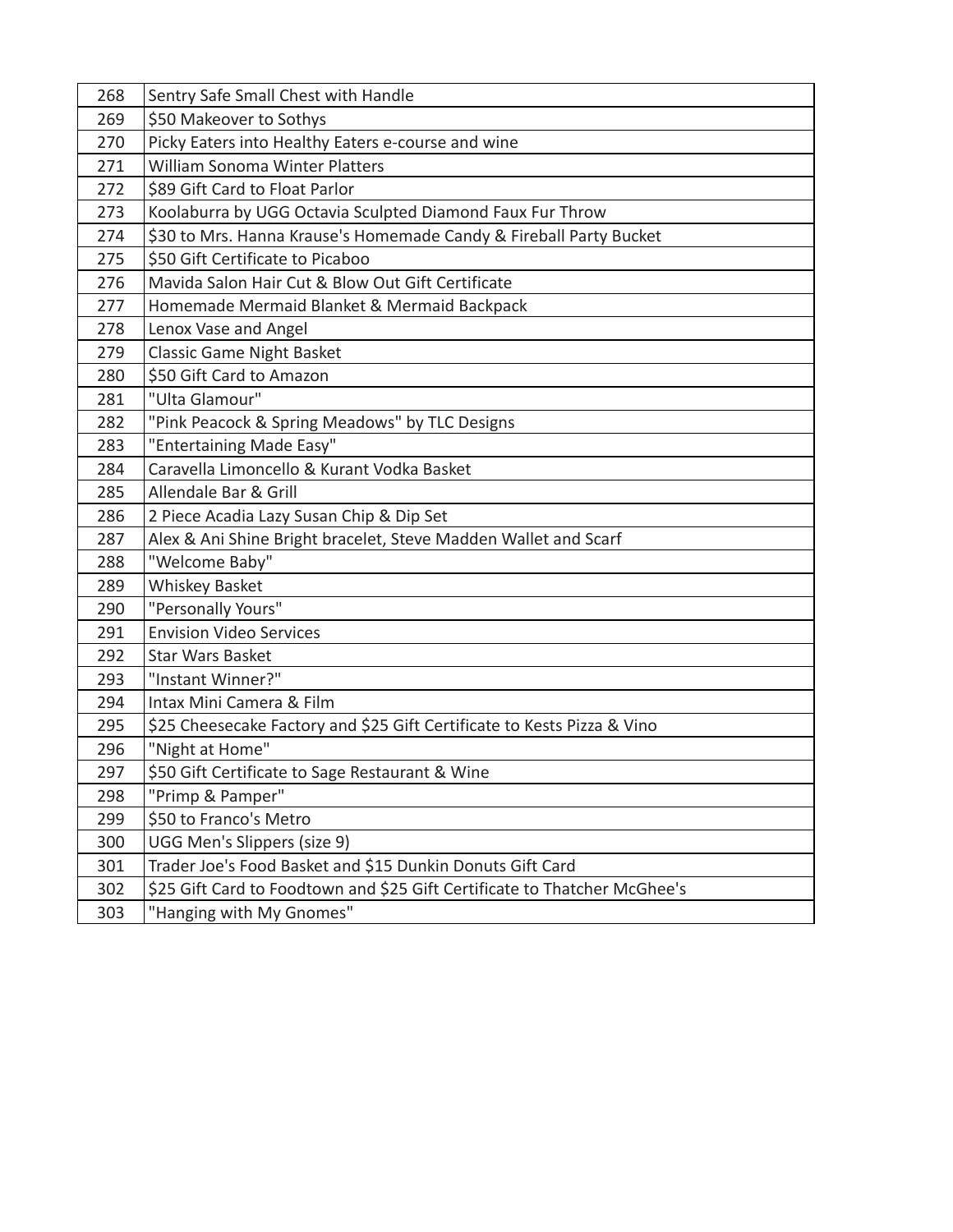| 268 | Sentry Safe Small Chest with Handle                                       |
|-----|---------------------------------------------------------------------------|
| 269 | \$50 Makeover to Sothys                                                   |
| 270 | Picky Eaters into Healthy Eaters e-course and wine                        |
| 271 | <b>William Sonoma Winter Platters</b>                                     |
| 272 | \$89 Gift Card to Float Parlor                                            |
| 273 | Koolaburra by UGG Octavia Sculpted Diamond Faux Fur Throw                 |
| 274 | \$30 to Mrs. Hanna Krause's Homemade Candy & Fireball Party Bucket        |
| 275 | \$50 Gift Certificate to Picaboo                                          |
| 276 | Mavida Salon Hair Cut & Blow Out Gift Certificate                         |
| 277 | Homemade Mermaid Blanket & Mermaid Backpack                               |
| 278 | Lenox Vase and Angel                                                      |
| 279 | <b>Classic Game Night Basket</b>                                          |
| 280 | \$50 Gift Card to Amazon                                                  |
| 281 | "Ulta Glamour"                                                            |
| 282 | "Pink Peacock & Spring Meadows" by TLC Designs                            |
| 283 | "Entertaining Made Easy"                                                  |
| 284 | Caravella Limoncello & Kurant Vodka Basket                                |
| 285 | Allendale Bar & Grill                                                     |
| 286 | 2 Piece Acadia Lazy Susan Chip & Dip Set                                  |
| 287 | Alex & Ani Shine Bright bracelet, Steve Madden Wallet and Scarf           |
| 288 | "Welcome Baby"                                                            |
| 289 | Whiskey Basket                                                            |
| 290 | "Personally Yours"                                                        |
| 291 | <b>Envision Video Services</b>                                            |
| 292 | <b>Star Wars Basket</b>                                                   |
| 293 | "Instant Winner?"                                                         |
| 294 | Intax Mini Camera & Film                                                  |
| 295 | \$25 Cheesecake Factory and \$25 Gift Certificate to Kests Pizza & Vino   |
| 296 | "Night at Home"                                                           |
| 297 | \$50 Gift Certificate to Sage Restaurant & Wine                           |
| 298 | "Primp & Pamper"                                                          |
| 299 | \$50 to Franco's Metro                                                    |
| 300 | UGG Men's Slippers (size 9)                                               |
| 301 | Trader Joe's Food Basket and \$15 Dunkin Donuts Gift Card                 |
| 302 | \$25 Gift Card to Foodtown and \$25 Gift Certificate to Thatcher McGhee's |
| 303 | "Hanging with My Gnomes"                                                  |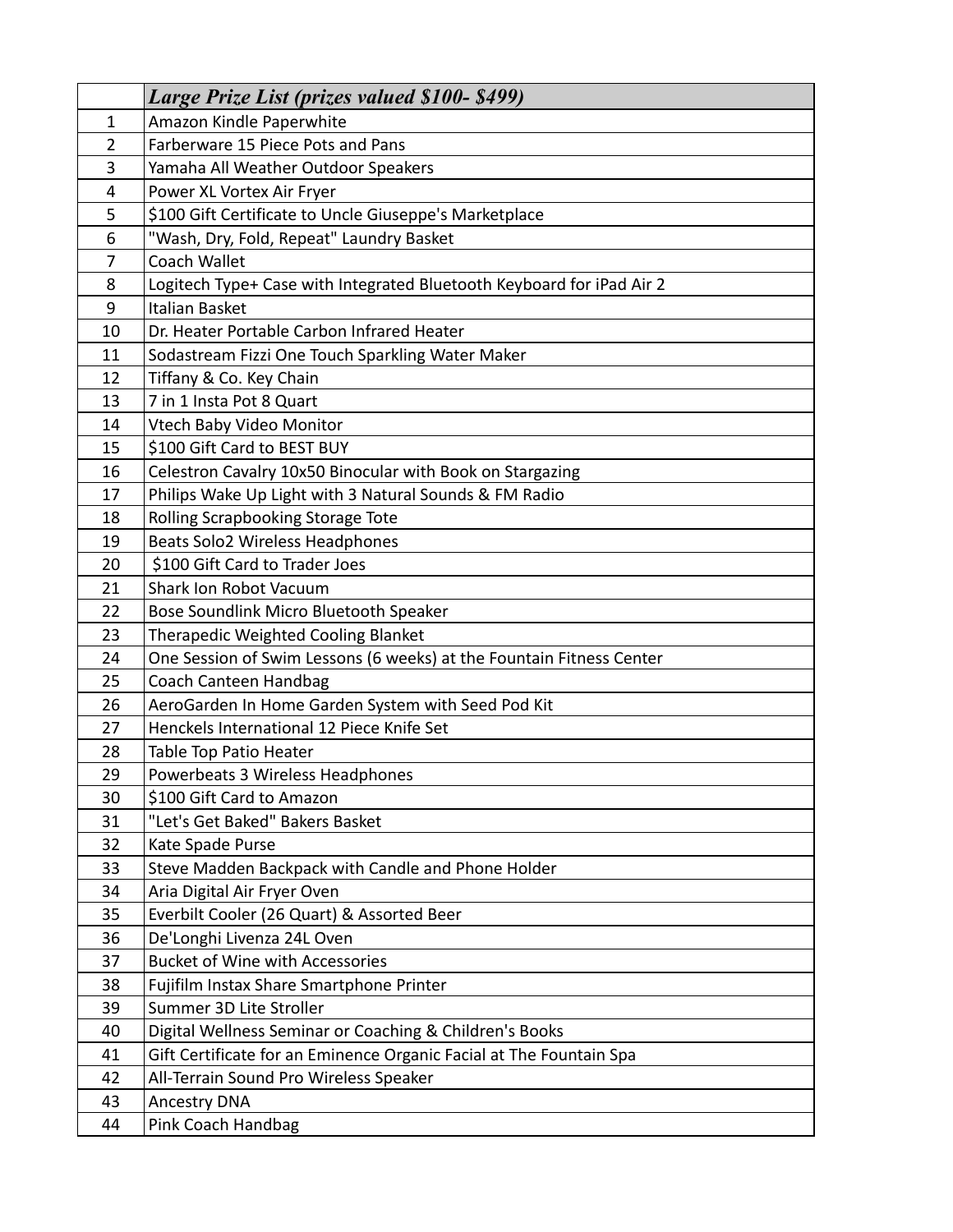|    | <b>Large Prize List (prizes valued \$100-\$499)</b>                   |
|----|-----------------------------------------------------------------------|
| 1  | Amazon Kindle Paperwhite                                              |
| 2  | Farberware 15 Piece Pots and Pans                                     |
| 3  | Yamaha All Weather Outdoor Speakers                                   |
| 4  | Power XL Vortex Air Fryer                                             |
| 5  | \$100 Gift Certificate to Uncle Giuseppe's Marketplace                |
| 6  | "Wash, Dry, Fold, Repeat" Laundry Basket                              |
| 7  | Coach Wallet                                                          |
| 8  | Logitech Type+ Case with Integrated Bluetooth Keyboard for iPad Air 2 |
| 9  | Italian Basket                                                        |
| 10 | Dr. Heater Portable Carbon Infrared Heater                            |
| 11 | Sodastream Fizzi One Touch Sparkling Water Maker                      |
| 12 | Tiffany & Co. Key Chain                                               |
| 13 | 7 in 1 Insta Pot 8 Quart                                              |
| 14 | Vtech Baby Video Monitor                                              |
| 15 | \$100 Gift Card to BEST BUY                                           |
| 16 | Celestron Cavalry 10x50 Binocular with Book on Stargazing             |
| 17 | Philips Wake Up Light with 3 Natural Sounds & FM Radio                |
| 18 | Rolling Scrapbooking Storage Tote                                     |
| 19 | Beats Solo2 Wireless Headphones                                       |
| 20 | \$100 Gift Card to Trader Joes                                        |
| 21 | <b>Shark Ion Robot Vacuum</b>                                         |
| 22 | Bose Soundlink Micro Bluetooth Speaker                                |
| 23 | Therapedic Weighted Cooling Blanket                                   |
| 24 | One Session of Swim Lessons (6 weeks) at the Fountain Fitness Center  |
| 25 | Coach Canteen Handbag                                                 |
| 26 | AeroGarden In Home Garden System with Seed Pod Kit                    |
| 27 | Henckels International 12 Piece Knife Set                             |
| 28 | Table Top Patio Heater                                                |
| 29 | Powerbeats 3 Wireless Headphones                                      |
| 30 | \$100 Gift Card to Amazon                                             |
| 31 | "Let's Get Baked" Bakers Basket                                       |
| 32 | Kate Spade Purse                                                      |
| 33 | Steve Madden Backpack with Candle and Phone Holder                    |
| 34 | Aria Digital Air Fryer Oven                                           |
| 35 | Everbilt Cooler (26 Quart) & Assorted Beer                            |
| 36 | De'Longhi Livenza 24L Oven                                            |
| 37 | <b>Bucket of Wine with Accessories</b>                                |
| 38 | Fujifilm Instax Share Smartphone Printer                              |
| 39 | Summer 3D Lite Stroller                                               |
| 40 | Digital Wellness Seminar or Coaching & Children's Books               |
| 41 | Gift Certificate for an Eminence Organic Facial at The Fountain Spa   |
| 42 | All-Terrain Sound Pro Wireless Speaker                                |
| 43 | <b>Ancestry DNA</b>                                                   |
| 44 | Pink Coach Handbag                                                    |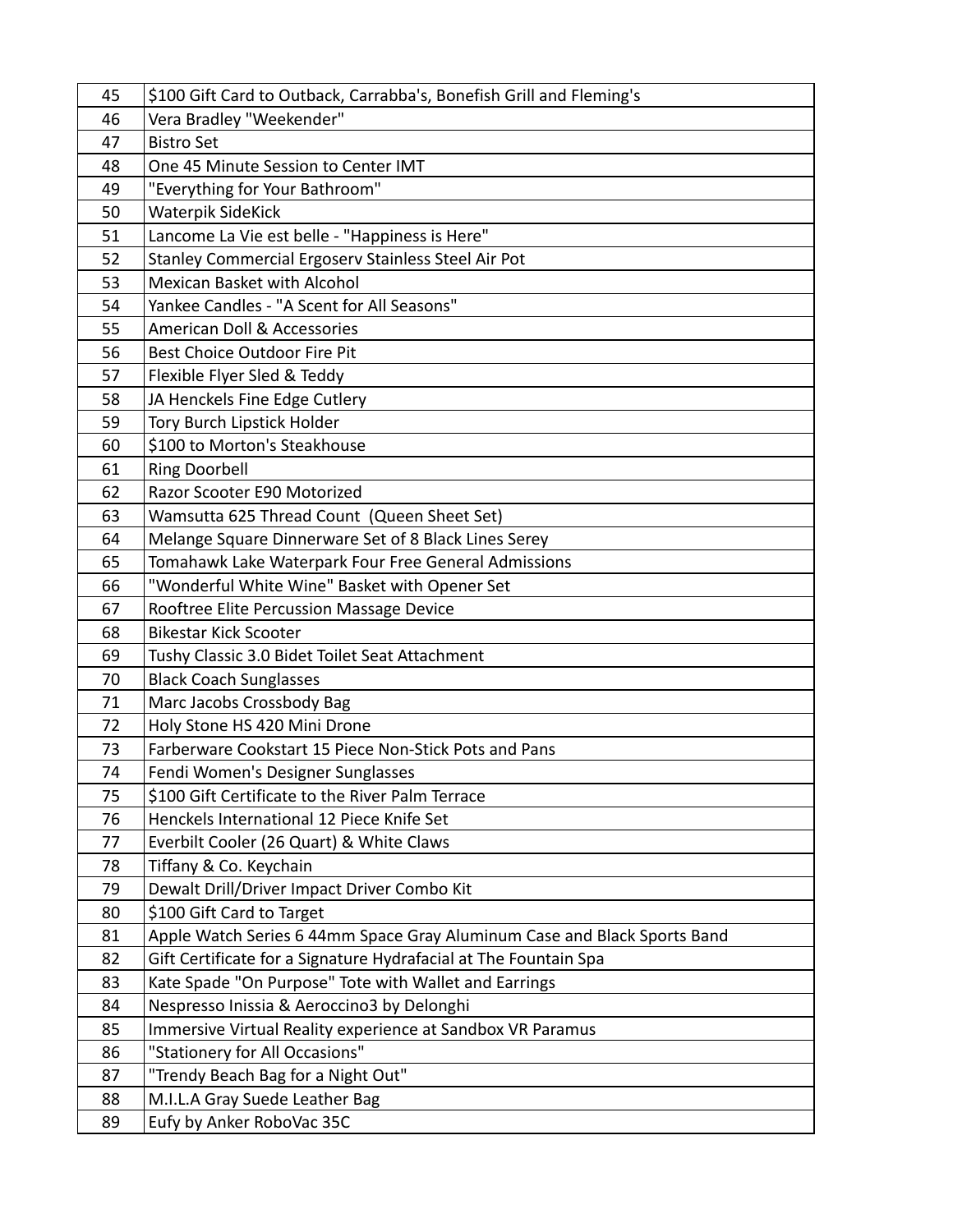| 45 | \$100 Gift Card to Outback, Carrabba's, Bonefish Grill and Fleming's     |
|----|--------------------------------------------------------------------------|
| 46 | Vera Bradley "Weekender"                                                 |
| 47 | <b>Bistro Set</b>                                                        |
| 48 | One 45 Minute Session to Center IMT                                      |
| 49 | "Everything for Your Bathroom"                                           |
| 50 | <b>Waterpik SideKick</b>                                                 |
| 51 | Lancome La Vie est belle - "Happiness is Here"                           |
| 52 | Stanley Commercial Ergoserv Stainless Steel Air Pot                      |
| 53 | <b>Mexican Basket with Alcohol</b>                                       |
| 54 | Yankee Candles - "A Scent for All Seasons"                               |
| 55 | <b>American Doll &amp; Accessories</b>                                   |
| 56 | Best Choice Outdoor Fire Pit                                             |
| 57 | Flexible Flyer Sled & Teddy                                              |
| 58 | JA Henckels Fine Edge Cutlery                                            |
| 59 | Tory Burch Lipstick Holder                                               |
| 60 | \$100 to Morton's Steakhouse                                             |
| 61 | <b>Ring Doorbell</b>                                                     |
| 62 | Razor Scooter E90 Motorized                                              |
| 63 | Wamsutta 625 Thread Count (Queen Sheet Set)                              |
| 64 | Melange Square Dinnerware Set of 8 Black Lines Serey                     |
| 65 | Tomahawk Lake Waterpark Four Free General Admissions                     |
| 66 | "Wonderful White Wine" Basket with Opener Set                            |
| 67 | Rooftree Elite Percussion Massage Device                                 |
| 68 | <b>Bikestar Kick Scooter</b>                                             |
| 69 | Tushy Classic 3.0 Bidet Toilet Seat Attachment                           |
| 70 | <b>Black Coach Sunglasses</b>                                            |
| 71 | Marc Jacobs Crossbody Bag                                                |
| 72 | Holy Stone HS 420 Mini Drone                                             |
| 73 | Farberware Cookstart 15 Piece Non-Stick Pots and Pans                    |
| 74 | Fendi Women's Designer Sunglasses                                        |
| 75 | \$100 Gift Certificate to the River Palm Terrace                         |
| 76 | Henckels International 12 Piece Knife Set                                |
| 77 | Everbilt Cooler (26 Quart) & White Claws                                 |
| 78 | Tiffany & Co. Keychain                                                   |
| 79 | Dewalt Drill/Driver Impact Driver Combo Kit                              |
| 80 | \$100 Gift Card to Target                                                |
| 81 | Apple Watch Series 6 44mm Space Gray Aluminum Case and Black Sports Band |
| 82 | Gift Certificate for a Signature Hydrafacial at The Fountain Spa         |
| 83 | Kate Spade "On Purpose" Tote with Wallet and Earrings                    |
| 84 | Nespresso Inissia & Aeroccino3 by Delonghi                               |
| 85 | Immersive Virtual Reality experience at Sandbox VR Paramus               |
| 86 | "Stationery for All Occasions"                                           |
| 87 | "Trendy Beach Bag for a Night Out"                                       |
| 88 | M.I.L.A Gray Suede Leather Bag                                           |
| 89 | Eufy by Anker RoboVac 35C                                                |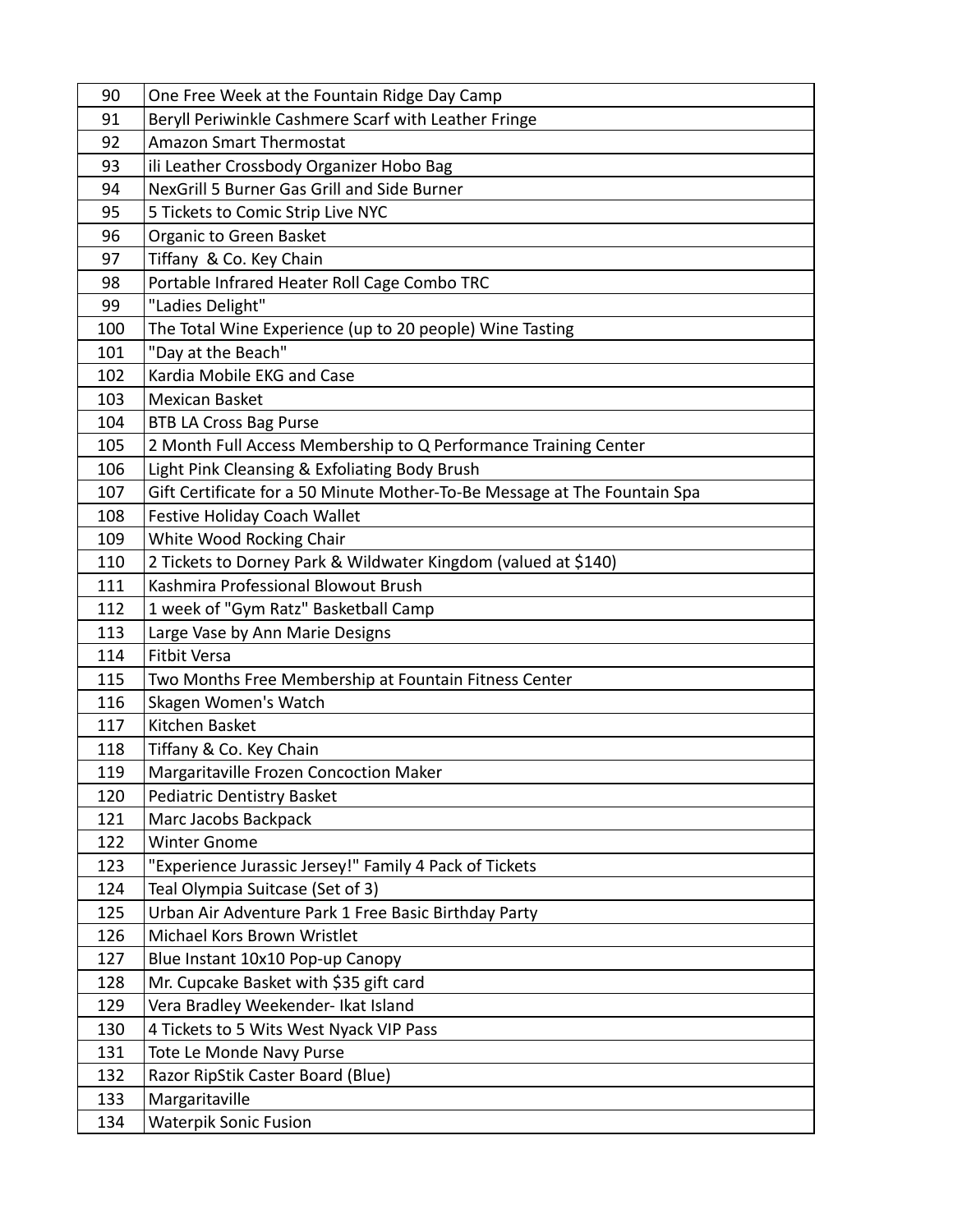| 90  | One Free Week at the Fountain Ridge Day Camp                              |
|-----|---------------------------------------------------------------------------|
| 91  | Beryll Periwinkle Cashmere Scarf with Leather Fringe                      |
| 92  | <b>Amazon Smart Thermostat</b>                                            |
| 93  | ili Leather Crossbody Organizer Hobo Bag                                  |
| 94  | NexGrill 5 Burner Gas Grill and Side Burner                               |
| 95  | 5 Tickets to Comic Strip Live NYC                                         |
| 96  | Organic to Green Basket                                                   |
| 97  | Tiffany & Co. Key Chain                                                   |
| 98  | Portable Infrared Heater Roll Cage Combo TRC                              |
| 99  | "Ladies Delight"                                                          |
| 100 | The Total Wine Experience (up to 20 people) Wine Tasting                  |
| 101 | "Day at the Beach"                                                        |
| 102 | Kardia Mobile EKG and Case                                                |
| 103 | Mexican Basket                                                            |
| 104 | <b>BTB LA Cross Bag Purse</b>                                             |
| 105 | 2 Month Full Access Membership to Q Performance Training Center           |
| 106 | Light Pink Cleansing & Exfoliating Body Brush                             |
| 107 | Gift Certificate for a 50 Minute Mother-To-Be Message at The Fountain Spa |
| 108 | Festive Holiday Coach Wallet                                              |
| 109 | White Wood Rocking Chair                                                  |
| 110 | 2 Tickets to Dorney Park & Wildwater Kingdom (valued at \$140)            |
| 111 | Kashmira Professional Blowout Brush                                       |
| 112 | 1 week of "Gym Ratz" Basketball Camp                                      |
| 113 | Large Vase by Ann Marie Designs                                           |
| 114 | <b>Fitbit Versa</b>                                                       |
| 115 | Two Months Free Membership at Fountain Fitness Center                     |
| 116 | Skagen Women's Watch                                                      |
| 117 | Kitchen Basket                                                            |
| 118 | Tiffany & Co. Key Chain                                                   |
| 119 | Margaritaville Frozen Concoction Maker                                    |
| 120 | Pediatric Dentistry Basket                                                |
| 121 | Marc Jacobs Backpack                                                      |
| 122 | <b>Winter Gnome</b>                                                       |
| 123 | "Experience Jurassic Jersey!" Family 4 Pack of Tickets                    |
| 124 | Teal Olympia Suitcase (Set of 3)                                          |
| 125 | Urban Air Adventure Park 1 Free Basic Birthday Party                      |
| 126 | Michael Kors Brown Wristlet                                               |
| 127 | Blue Instant 10x10 Pop-up Canopy                                          |
| 128 | Mr. Cupcake Basket with \$35 gift card                                    |
| 129 | Vera Bradley Weekender- Ikat Island                                       |
| 130 | 4 Tickets to 5 Wits West Nyack VIP Pass                                   |
| 131 | Tote Le Monde Navy Purse                                                  |
| 132 | Razor RipStik Caster Board (Blue)                                         |
| 133 | Margaritaville                                                            |
| 134 | <b>Waterpik Sonic Fusion</b>                                              |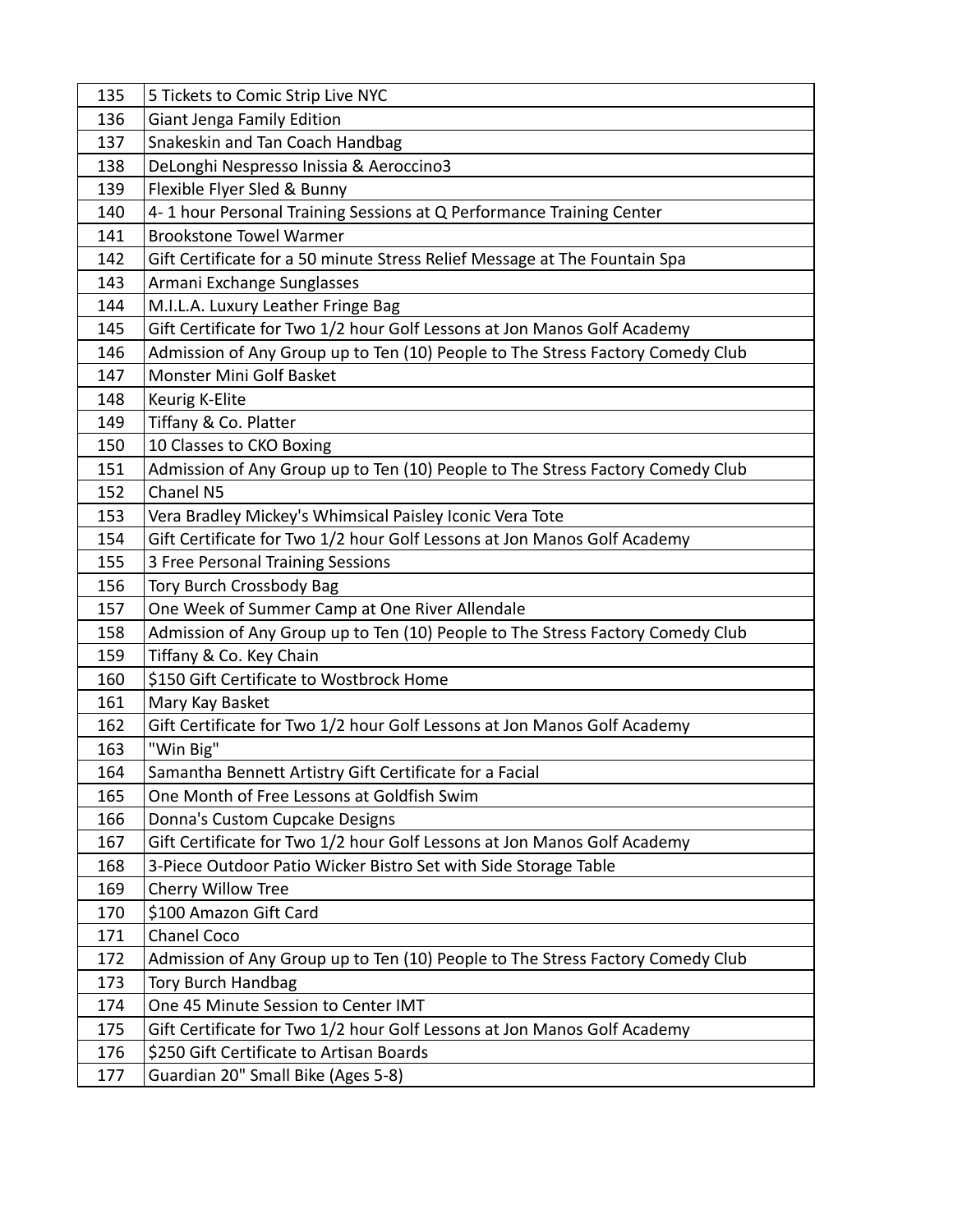| 135 | 5 Tickets to Comic Strip Live NYC                                              |
|-----|--------------------------------------------------------------------------------|
| 136 | Giant Jenga Family Edition                                                     |
| 137 | Snakeskin and Tan Coach Handbag                                                |
| 138 | DeLonghi Nespresso Inissia & Aeroccino3                                        |
| 139 | Flexible Flyer Sled & Bunny                                                    |
| 140 | 4-1 hour Personal Training Sessions at Q Performance Training Center           |
| 141 | <b>Brookstone Towel Warmer</b>                                                 |
| 142 | Gift Certificate for a 50 minute Stress Relief Message at The Fountain Spa     |
| 143 | Armani Exchange Sunglasses                                                     |
| 144 | M.I.L.A. Luxury Leather Fringe Bag                                             |
| 145 | Gift Certificate for Two 1/2 hour Golf Lessons at Jon Manos Golf Academy       |
| 146 | Admission of Any Group up to Ten (10) People to The Stress Factory Comedy Club |
| 147 | Monster Mini Golf Basket                                                       |
| 148 | Keurig K-Elite                                                                 |
| 149 | Tiffany & Co. Platter                                                          |
| 150 | 10 Classes to CKO Boxing                                                       |
| 151 | Admission of Any Group up to Ten (10) People to The Stress Factory Comedy Club |
| 152 | Chanel N5                                                                      |
| 153 | Vera Bradley Mickey's Whimsical Paisley Iconic Vera Tote                       |
| 154 | Gift Certificate for Two 1/2 hour Golf Lessons at Jon Manos Golf Academy       |
| 155 | 3 Free Personal Training Sessions                                              |
| 156 | Tory Burch Crossbody Bag                                                       |
| 157 | One Week of Summer Camp at One River Allendale                                 |
| 158 | Admission of Any Group up to Ten (10) People to The Stress Factory Comedy Club |
| 159 | Tiffany & Co. Key Chain                                                        |
| 160 | \$150 Gift Certificate to Wostbrock Home                                       |
| 161 | Mary Kay Basket                                                                |
| 162 | Gift Certificate for Two 1/2 hour Golf Lessons at Jon Manos Golf Academy       |
| 163 | "Win Big"                                                                      |
| 164 | Samantha Bennett Artistry Gift Certificate for a Facial                        |
| 165 | One Month of Free Lessons at Goldfish Swim                                     |
| 166 | Donna's Custom Cupcake Designs                                                 |
| 167 | Gift Certificate for Two 1/2 hour Golf Lessons at Jon Manos Golf Academy       |
| 168 | 3-Piece Outdoor Patio Wicker Bistro Set with Side Storage Table                |
| 169 | Cherry Willow Tree                                                             |
| 170 | \$100 Amazon Gift Card                                                         |
| 171 | <b>Chanel Coco</b>                                                             |
| 172 | Admission of Any Group up to Ten (10) People to The Stress Factory Comedy Club |
| 173 | <b>Tory Burch Handbag</b>                                                      |
| 174 | One 45 Minute Session to Center IMT                                            |
| 175 | Gift Certificate for Two 1/2 hour Golf Lessons at Jon Manos Golf Academy       |
| 176 | \$250 Gift Certificate to Artisan Boards                                       |
| 177 | Guardian 20" Small Bike (Ages 5-8)                                             |